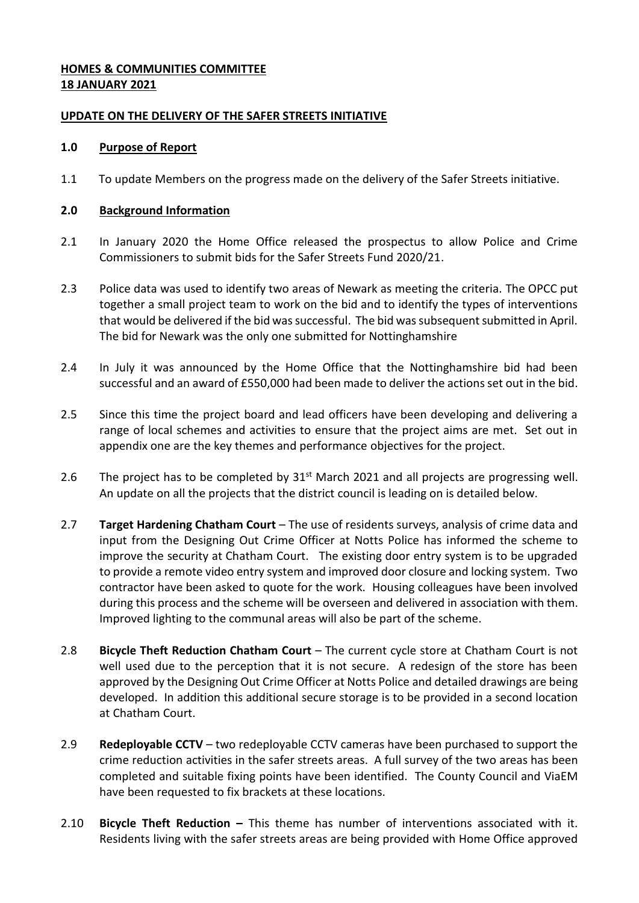# **HOMES & COMMUNITIES COMMITTEE 18 JANUARY 2021**

### **UPDATE ON THE DELIVERY OF THE SAFER STREETS INITIATIVE**

### **1.0 Purpose of Report**

1.1 To update Members on the progress made on the delivery of the Safer Streets initiative.

### **2.0 Background Information**

- 2.1 In January 2020 the Home Office released the prospectus to allow Police and Crime Commissioners to submit bids for the Safer Streets Fund 2020/21.
- 2.3 Police data was used to identify two areas of Newark as meeting the criteria. The OPCC put together a small project team to work on the bid and to identify the types of interventions that would be delivered if the bid was successful. The bid was subsequent submitted in April. The bid for Newark was the only one submitted for Nottinghamshire
- 2.4 In July it was announced by the Home Office that the Nottinghamshire bid had been successful and an award of £550,000 had been made to deliver the actions set out in the bid.
- 2.5 Since this time the project board and lead officers have been developing and delivering a range of local schemes and activities to ensure that the project aims are met. Set out in appendix one are the key themes and performance objectives for the project.
- 2.6 The project has to be completed by  $31<sup>st</sup>$  March 2021 and all projects are progressing well. An update on all the projects that the district council is leading on is detailed below.
- 2.7 **Target Hardening Chatham Court** The use of residents surveys, analysis of crime data and input from the Designing Out Crime Officer at Notts Police has informed the scheme to improve the security at Chatham Court. The existing door entry system is to be upgraded to provide a remote video entry system and improved door closure and locking system. Two contractor have been asked to quote for the work. Housing colleagues have been involved during this process and the scheme will be overseen and delivered in association with them. Improved lighting to the communal areas will also be part of the scheme.
- 2.8 **Bicycle Theft Reduction Chatham Court** The current cycle store at Chatham Court is not well used due to the perception that it is not secure. A redesign of the store has been approved by the Designing Out Crime Officer at Notts Police and detailed drawings are being developed. In addition this additional secure storage is to be provided in a second location at Chatham Court.
- 2.9 **Redeployable CCTV** two redeployable CCTV cameras have been purchased to support the crime reduction activities in the safer streets areas. A full survey of the two areas has been completed and suitable fixing points have been identified. The County Council and ViaEM have been requested to fix brackets at these locations.
- 2.10 **Bicycle Theft Reduction –** This theme has number of interventions associated with it. Residents living with the safer streets areas are being provided with Home Office approved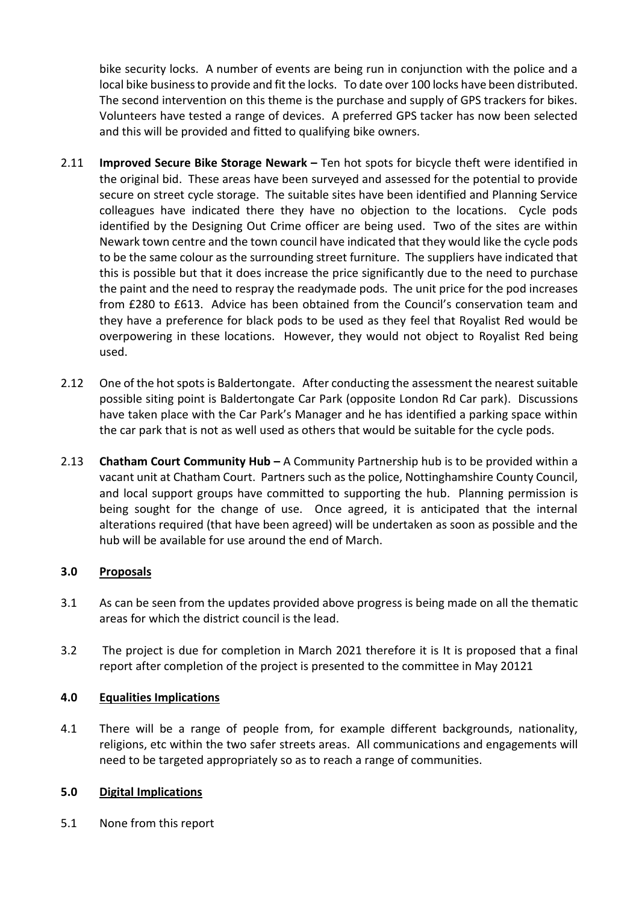bike security locks. A number of events are being run in conjunction with the police and a local bike business to provide and fit the locks. To date over 100 locks have been distributed. The second intervention on this theme is the purchase and supply of GPS trackers for bikes. Volunteers have tested a range of devices. A preferred GPS tacker has now been selected and this will be provided and fitted to qualifying bike owners.

- 2.11 **Improved Secure Bike Storage Newark –** Ten hot spots for bicycle theft were identified in the original bid. These areas have been surveyed and assessed for the potential to provide secure on street cycle storage. The suitable sites have been identified and Planning Service colleagues have indicated there they have no objection to the locations. Cycle pods identified by the Designing Out Crime officer are being used. Two of the sites are within Newark town centre and the town council have indicated that they would like the cycle pods to be the same colour as the surrounding street furniture. The suppliers have indicated that this is possible but that it does increase the price significantly due to the need to purchase the paint and the need to respray the readymade pods. The unit price for the pod increases from £280 to £613. Advice has been obtained from the Council's conservation team and they have a preference for black pods to be used as they feel that Royalist Red would be overpowering in these locations. However, they would not object to Royalist Red being used.
- 2.12 One of the hot spots is Baldertongate. After conducting the assessment the nearest suitable possible siting point is Baldertongate Car Park (opposite London Rd Car park). Discussions have taken place with the Car Park's Manager and he has identified a parking space within the car park that is not as well used as others that would be suitable for the cycle pods.
- 2.13 **Chatham Court Community Hub –** A Community Partnership hub is to be provided within a vacant unit at Chatham Court. Partners such as the police, Nottinghamshire County Council, and local support groups have committed to supporting the hub. Planning permission is being sought for the change of use. Once agreed, it is anticipated that the internal alterations required (that have been agreed) will be undertaken as soon as possible and the hub will be available for use around the end of March.

# **3.0 Proposals**

- 3.1 As can be seen from the updates provided above progress is being made on all the thematic areas for which the district council is the lead.
- 3.2 The project is due for completion in March 2021 therefore it is It is proposed that a final report after completion of the project is presented to the committee in May 20121

# **4.0 Equalities Implications**

4.1 There will be a range of people from, for example different backgrounds, nationality, religions, etc within the two safer streets areas. All communications and engagements will need to be targeted appropriately so as to reach a range of communities.

### **5.0 Digital Implications**

5.1 None from this report